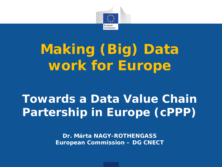

# **Making (Big) Data work for Europe**

## **Towards a Data Value Chain Partership in Europe (cPPP)**

**Dr. Márta NAGY-ROTHENGASS European Commission – DG CNECT**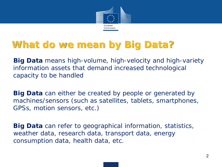

### **What do we mean by Big Data?**

**Big Data** means high-volume, high-velocity and high-variety information assets that demand increased technological capacity to be handled

**Big Data** can either be created by people or generated by machines/sensors (such as satellites, tablets, smartphones, GPSs, motion sensors, etc.)

**Big Data** can refer to geographical information, statistics, weather data, research data, transport data, energy consumption data, health data, etc.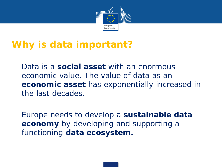

#### **Why is data important?**

• *Data is a social asset with an enormous economic value. The value of data as an economic asset has exponentially increased in the last decades.*

• Europe needs to develop a **sustainable data economy** by developing and supporting a functioning **data ecosystem.**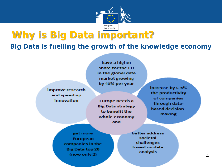

#### **Why is Big Data important?**

*Big Data is fuelling the growth of the knowledge economy*

improve research and speed up innovation

have a higher share for the EU in the global data market growing by 40% per year

Europe needs a **Big Data strategy** to benefit the whole economy and

increase by 5-6% the productivity of companies through databased decisionmaking

get more European companies in the **Big Data top 20** (now only 2)

better address societal challenges based on data analysis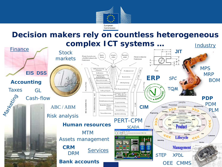

#### **Decision makers rely on countless heterogeneous complex ICT systems … Industry**

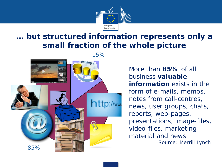

#### **… but structured information represents only a small fraction of the whole picture**



More than **85%** of all business **valuable information** exists in the form of e-mails, memos, notes from call-centres, news, user groups, chats, reports, web-pages, presentations, image-files, video-files, marketing material and news.

Source: Merrill Lynch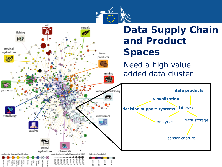

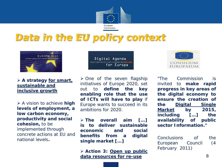

#### *Data in the EU policy context*



 *A strategy for smart, sustainable and inclusive growth*

 *A vision to achieve high levels of employment, a low carbon economy, productivity and social cohesion, to be implemented through concrete actions at EU and national levels.*

Digital Agenda for Europe

 *One of the seven flagship initiatives of Europe 2020, set out to define the key enabling role that the use of ICTs will have to play if Europe wants to succeed in its ambitions for 2020.*

 *The overall aim […] is to deliver sustainable economic and social benefits from a digital single market […]*

 *Action 3: Open up public data resources for re-use*



*"The Commission is invited to make rapid progress in key areas of the digital economy to ensure the creation of the Digital Single Market by 2015, including […] the availability of public sector Information."*

*Conclusions of the European Council (4 February 2011)*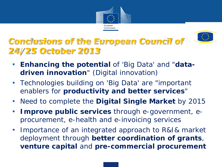



#### *Conclusions of the European Council of 24/25 October 2013*

- *Enhancing the potential of 'Big Data' and "datadriven innovation" (Digital innovation)*
- *Technologies building on 'Big Data' are "important enablers for productivity and better services"*
- *Need to complete the Digital Single Market by 2015*
- *Improve public services through e-government, eprocurement, e-health and e-invoicing services*
- *Importance of an integrated approach to R&I& market deployment through better coordination of grants, venture capital and pre-commercial procurement*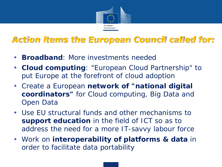

#### *Action items the European Council called for:*

- *Broadband: More investments needed*
- *Cloud computing: "European Cloud Partnership" to put Europe at the forefront of cloud adoption*
- *Create a European network of "national digital coordinators" for Cloud computing, Big Data and Open Data*
- *Use EU structural funds and other mechanisms to support education in the field of ICT so as to address the need for a more IT-savvy labour force*
- *Work on interoperability of platforms & data in order to facilitate data portability*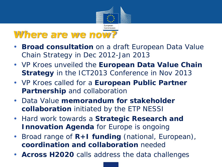

#### *Where are we now?*

- **Broad consultation** on a draft European Data Value Chain Strategy in Dec 2012-Jan 2013
- VP Kroes unveiled the **European Data Value Chain Strategy** in the ICT2013 Conference in Nov 2013
- VP Kroes called for a **European Public Partner Partnership** and collaboration
- Data Value **memorandum for stakeholder collaboration** initiated by the ETP NESSI
- Hard work towards a **Strategic Research and Innovation Agenda** for Europe is ongoing
- Broad range of **R+I funding** (national, European), **coordination and collaboration** needed
- **Across H2020** calls address the data challenges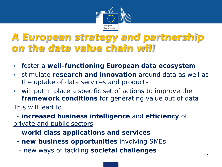

#### *A European strategy and partnership on the data value chain will*

- foster a **well-functioning European data ecosystem**
- stimulate **research and innovation** around data as well as the uptake of data services and products
- will put in place a specific set of actions to improve the **framework conditions** for generating value out of data This will lead to

•- **increased business intelligence** and **efficiency** of private and public sectors

- •- **world class applications and services**
- •**- new business opportunities** involving SMEs
- - new ways of tackling **societal challenges**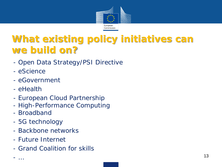

### **What existing policy initiatives can we build on?**

- Open Data Strategy/PSI Directive
- eScience
- eGovernment
- eHealth
- European Cloud Partnership
- High-Performance Computing
- Broadband
- 5G technology
- Backbone networks
- Future Internet
- Grand Coalition for skills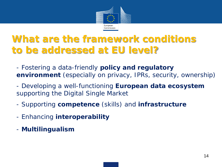

#### **What are the framework conditions to be addressed at EU level?**

- Fostering a data-friendly **policy and regulatory environment** (especially on privacy, IPRs, security, ownership)
- Developing a well-functioning **European data ecosystem**  supporting the Digital Single Market
- Supporting **competence** (skills) and **infrastructure**
- Enhancing **interoperability**
- **Multilingualism**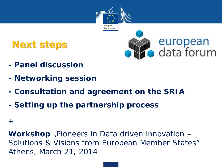

### **Next steps**



- **- Panel discussion**
- **- Networking session**
- **- Consultation and agreement on the SRIA**
- **- Setting up the partnership process**

#### **+**

**Workshop** "Pioneers in Data driven innovation – Solutions & Visions from European Member States" Athens, March 21, 2014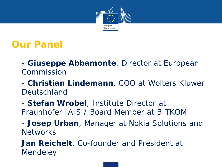

#### **Our Panel**

• *- Giuseppe Abbamonte, Director at European Commission*

• *- Christian Lindemann, COO at Wolters Kluwer Deutschland*

• *- Stefan Wrobel, Institute Director at Fraunhofer IAIS / Board Member at BITKOM*

• *- Josep Urban, Manager at Nokia Solutions and Networks*

• *Jan Reichelt, Co-founder and President at Mendeley*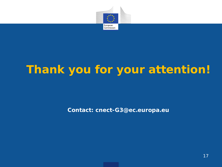

## **Thank you for your attention!**

**Contact: cnect-G3@ec.europa.eu**